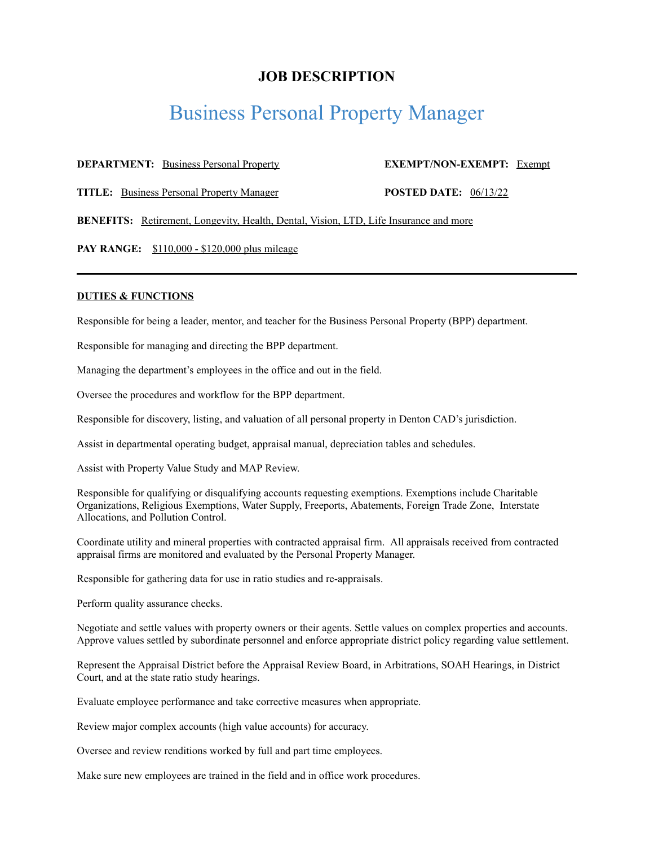## **JOB DESCRIPTION**

# Business Personal Property Manager

### **DEPARTMENT:** Business Personal Property **EXEMPT/NON-EXEMPT:** Exempt

**TITLE:** Business Personal Property Manager **POSTED DATE:** 06/13/22

**BENEFITS:** Retirement, Longevity, Health, Dental, Vision, LTD, Life Insurance and more

**PAY RANGE:** \$110,000 - \$120,000 plus mileage

#### **DUTIES & FUNCTIONS**

Responsible for being a leader, mentor, and teacher for the Business Personal Property (BPP) department.

Responsible for managing and directing the BPP department.

Managing the department's employees in the office and out in the field.

Oversee the procedures and workflow for the BPP department.

Responsible for discovery, listing, and valuation of all personal property in Denton CAD's jurisdiction.

Assist in departmental operating budget, appraisal manual, depreciation tables and schedules.

Assist with Property Value Study and MAP Review.

Responsible for qualifying or disqualifying accounts requesting exemptions. Exemptions include Charitable Organizations, Religious Exemptions, Water Supply, Freeports, Abatements, Foreign Trade Zone, Interstate Allocations, and Pollution Control.

Coordinate utility and mineral properties with contracted appraisal firm. All appraisals received from contracted appraisal firms are monitored and evaluated by the Personal Property Manager.

Responsible for gathering data for use in ratio studies and re-appraisals.

Perform quality assurance checks.

Negotiate and settle values with property owners or their agents. Settle values on complex properties and accounts. Approve values settled by subordinate personnel and enforce appropriate district policy regarding value settlement.

Represent the Appraisal District before the Appraisal Review Board, in Arbitrations, SOAH Hearings, in District Court, and at the state ratio study hearings.

Evaluate employee performance and take corrective measures when appropriate.

Review major complex accounts (high value accounts) for accuracy.

Oversee and review renditions worked by full and part time employees.

Make sure new employees are trained in the field and in office work procedures.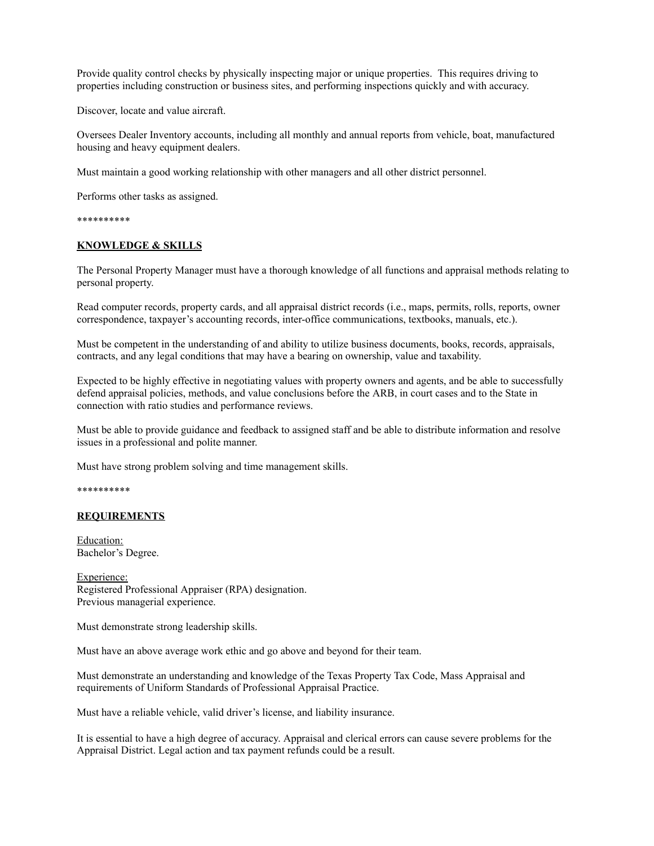Provide quality control checks by physically inspecting major or unique properties. This requires driving to properties including construction or business sites, and performing inspections quickly and with accuracy.

Discover, locate and value aircraft.

Oversees Dealer Inventory accounts, including all monthly and annual reports from vehicle, boat, manufactured housing and heavy equipment dealers.

Must maintain a good working relationship with other managers and all other district personnel.

Performs other tasks as assigned.

\*\*\*\*\*\*\*\*\*\*

#### **KNOWLEDGE & SKILLS**

The Personal Property Manager must have a thorough knowledge of all functions and appraisal methods relating to personal property.

Read computer records, property cards, and all appraisal district records (i.e., maps, permits, rolls, reports, owner correspondence, taxpayer's accounting records, inter-office communications, textbooks, manuals, etc.).

Must be competent in the understanding of and ability to utilize business documents, books, records, appraisals, contracts, and any legal conditions that may have a bearing on ownership, value and taxability.

Expected to be highly effective in negotiating values with property owners and agents, and be able to successfully defend appraisal policies, methods, and value conclusions before the ARB, in court cases and to the State in connection with ratio studies and performance reviews.

Must be able to provide guidance and feedback to assigned staff and be able to distribute information and resolve issues in a professional and polite manner.

Must have strong problem solving and time management skills.

\*\*\*\*\*\*\*\*\*\*

#### **REQUIREMENTS**

Education: Bachelor's Degree.

Experience: Registered Professional Appraiser (RPA) designation. Previous managerial experience.

Must demonstrate strong leadership skills.

Must have an above average work ethic and go above and beyond for their team.

Must demonstrate an understanding and knowledge of the Texas Property Tax Code, Mass Appraisal and requirements of Uniform Standards of Professional Appraisal Practice.

Must have a reliable vehicle, valid driver's license, and liability insurance.

It is essential to have a high degree of accuracy. Appraisal and clerical errors can cause severe problems for the Appraisal District. Legal action and tax payment refunds could be a result.